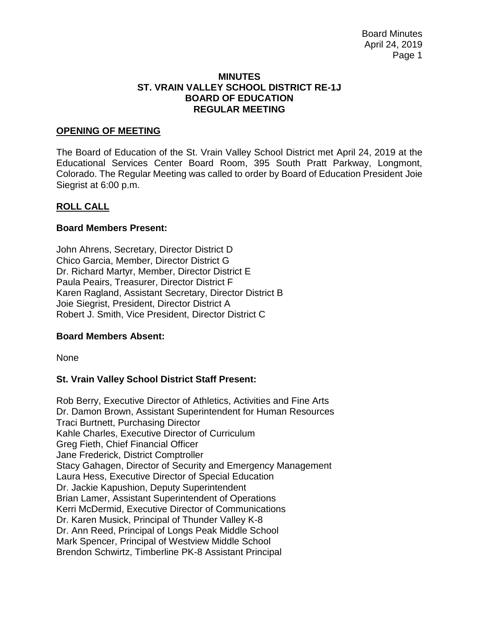#### **MINUTES ST. VRAIN VALLEY SCHOOL DISTRICT RE-1J BOARD OF EDUCATION REGULAR MEETING**

#### **OPENING OF MEETING**

The Board of Education of the St. Vrain Valley School District met April 24, 2019 at the Educational Services Center Board Room, 395 South Pratt Parkway, Longmont, Colorado. The Regular Meeting was called to order by Board of Education President Joie Siegrist at 6:00 p.m.

#### **ROLL CALL**

#### **Board Members Present:**

John Ahrens, Secretary, Director District D Chico Garcia, Member, Director District G Dr. Richard Martyr, Member, Director District E Paula Peairs, Treasurer, Director District F Karen Ragland, Assistant Secretary, Director District B Joie Siegrist, President, Director District A Robert J. Smith, Vice President, Director District C

#### **Board Members Absent:**

None

### **St. Vrain Valley School District Staff Present:**

Rob Berry, Executive Director of Athletics, Activities and Fine Arts Dr. Damon Brown, Assistant Superintendent for Human Resources Traci Burtnett, Purchasing Director Kahle Charles, Executive Director of Curriculum Greg Fieth, Chief Financial Officer Jane Frederick, District Comptroller Stacy Gahagen, Director of Security and Emergency Management Laura Hess, Executive Director of Special Education Dr. Jackie Kapushion, Deputy Superintendent Brian Lamer, Assistant Superintendent of Operations Kerri McDermid, Executive Director of Communications Dr. Karen Musick, Principal of Thunder Valley K-8 Dr. Ann Reed, Principal of Longs Peak Middle School Mark Spencer, Principal of Westview Middle School Brendon Schwirtz, Timberline PK-8 Assistant Principal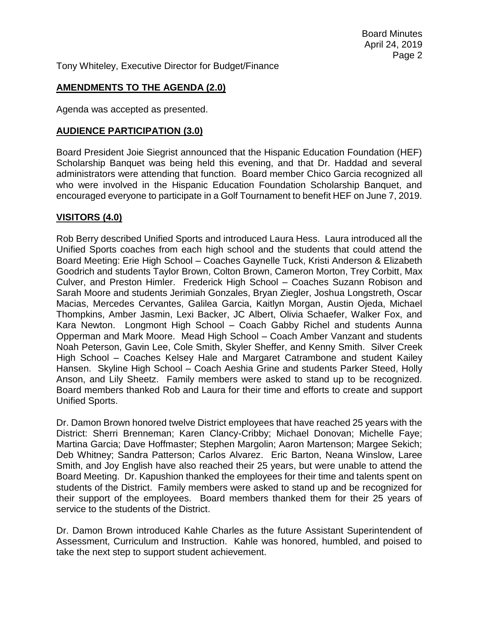Tony Whiteley, Executive Director for Budget/Finance

## **AMENDMENTS TO THE AGENDA (2.0)**

Agenda was accepted as presented.

### **AUDIENCE PARTICIPATION (3.0)**

Board President Joie Siegrist announced that the Hispanic Education Foundation (HEF) Scholarship Banquet was being held this evening, and that Dr. Haddad and several administrators were attending that function. Board member Chico Garcia recognized all who were involved in the Hispanic Education Foundation Scholarship Banquet, and encouraged everyone to participate in a Golf Tournament to benefit HEF on June 7, 2019.

### **VISITORS (4.0)**

Rob Berry described Unified Sports and introduced Laura Hess. Laura introduced all the Unified Sports coaches from each high school and the students that could attend the Board Meeting: Erie High School – Coaches Gaynelle Tuck, Kristi Anderson & Elizabeth Goodrich and students Taylor Brown, Colton Brown, Cameron Morton, Trey Corbitt, Max Culver, and Preston Himler. Frederick High School – Coaches Suzann Robison and Sarah Moore and students Jerimiah Gonzales, Bryan Ziegler, Joshua Longstreth, Oscar Macias, Mercedes Cervantes, Galilea Garcia, Kaitlyn Morgan, Austin Ojeda, Michael Thompkins, Amber Jasmin, Lexi Backer, JC Albert, Olivia Schaefer, Walker Fox, and Kara Newton. Longmont High School – Coach Gabby Richel and students Aunna Opperman and Mark Moore. Mead High School – Coach Amber Vanzant and students Noah Peterson, Gavin Lee, Cole Smith, Skyler Sheffer, and Kenny Smith. Silver Creek High School – Coaches Kelsey Hale and Margaret Catrambone and student Kailey Hansen. Skyline High School – Coach Aeshia Grine and students Parker Steed, Holly Anson, and Lily Sheetz. Family members were asked to stand up to be recognized. Board members thanked Rob and Laura for their time and efforts to create and support Unified Sports.

Dr. Damon Brown honored twelve District employees that have reached 25 years with the District: Sherri Brenneman; Karen Clancy-Cribby; Michael Donovan; Michelle Faye; Martina Garcia; Dave Hoffmaster; Stephen Margolin; Aaron Martenson; Margee Sekich; Deb Whitney; Sandra Patterson; Carlos Alvarez. Eric Barton, Neana Winslow, Laree Smith, and Joy English have also reached their 25 years, but were unable to attend the Board Meeting. Dr. Kapushion thanked the employees for their time and talents spent on students of the District. Family members were asked to stand up and be recognized for their support of the employees. Board members thanked them for their 25 years of service to the students of the District.

Dr. Damon Brown introduced Kahle Charles as the future Assistant Superintendent of Assessment, Curriculum and Instruction. Kahle was honored, humbled, and poised to take the next step to support student achievement.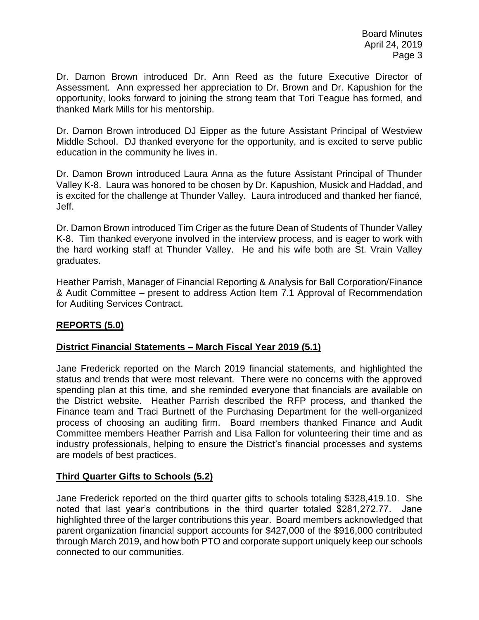Dr. Damon Brown introduced Dr. Ann Reed as the future Executive Director of Assessment. Ann expressed her appreciation to Dr. Brown and Dr. Kapushion for the opportunity, looks forward to joining the strong team that Tori Teague has formed, and thanked Mark Mills for his mentorship.

Dr. Damon Brown introduced DJ Eipper as the future Assistant Principal of Westview Middle School. DJ thanked everyone for the opportunity, and is excited to serve public education in the community he lives in.

Dr. Damon Brown introduced Laura Anna as the future Assistant Principal of Thunder Valley K-8. Laura was honored to be chosen by Dr. Kapushion, Musick and Haddad, and is excited for the challenge at Thunder Valley. Laura introduced and thanked her fiancé, Jeff.

Dr. Damon Brown introduced Tim Criger as the future Dean of Students of Thunder Valley K-8. Tim thanked everyone involved in the interview process, and is eager to work with the hard working staff at Thunder Valley. He and his wife both are St. Vrain Valley graduates.

Heather Parrish, Manager of Financial Reporting & Analysis for Ball Corporation/Finance & Audit Committee – present to address Action Item 7.1 Approval of Recommendation for Auditing Services Contract.

## **REPORTS (5.0)**

### **District Financial Statements – March Fiscal Year 2019 (5.1)**

Jane Frederick reported on the March 2019 financial statements, and highlighted the status and trends that were most relevant. There were no concerns with the approved spending plan at this time, and she reminded everyone that financials are available on the District website. Heather Parrish described the RFP process, and thanked the Finance team and Traci Burtnett of the Purchasing Department for the well-organized process of choosing an auditing firm. Board members thanked Finance and Audit Committee members Heather Parrish and Lisa Fallon for volunteering their time and as industry professionals, helping to ensure the District's financial processes and systems are models of best practices.

## **Third Quarter Gifts to Schools (5.2)**

Jane Frederick reported on the third quarter gifts to schools totaling \$328,419.10. She noted that last year's contributions in the third quarter totaled \$281,272.77. Jane highlighted three of the larger contributions this year. Board members acknowledged that parent organization financial support accounts for \$427,000 of the \$916,000 contributed through March 2019, and how both PTO and corporate support uniquely keep our schools connected to our communities.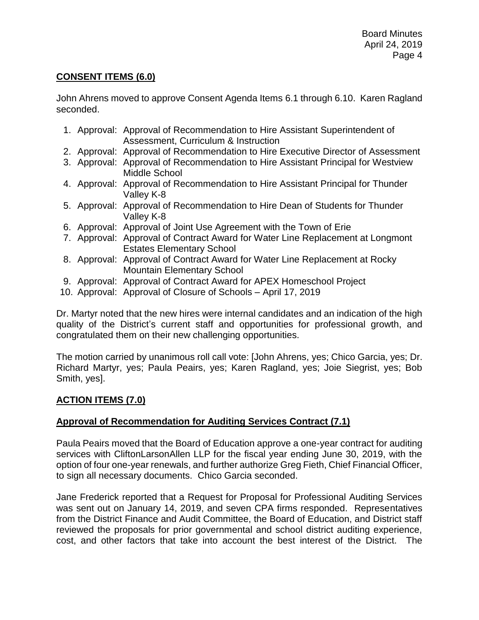# **CONSENT ITEMS (6.0)**

John Ahrens moved to approve Consent Agenda Items 6.1 through 6.10. Karen Ragland seconded.

- 1. Approval: Approval of Recommendation to Hire Assistant Superintendent of Assessment, Curriculum & Instruction
- 2. Approval: Approval of Recommendation to Hire Executive Director of Assessment
- 3. Approval: Approval of Recommendation to Hire Assistant Principal for Westview Middle School
- 4. Approval: Approval of Recommendation to Hire Assistant Principal for Thunder Valley K-8
- 5. Approval: Approval of Recommendation to Hire Dean of Students for Thunder Valley K-8
- 6. Approval: Approval of Joint Use Agreement with the Town of Erie
- 7. Approval: Approval of Contract Award for Water Line Replacement at Longmont Estates Elementary School
- 8. Approval: Approval of Contract Award for Water Line Replacement at Rocky Mountain Elementary School
- 9. Approval: Approval of Contract Award for APEX Homeschool Project
- 10. Approval: Approval of Closure of Schools April 17, 2019

Dr. Martyr noted that the new hires were internal candidates and an indication of the high quality of the District's current staff and opportunities for professional growth, and congratulated them on their new challenging opportunities.

The motion carried by unanimous roll call vote: [John Ahrens, yes; Chico Garcia, yes; Dr. Richard Martyr, yes; Paula Peairs, yes; Karen Ragland, yes; Joie Siegrist, yes; Bob Smith, yes].

## **ACTION ITEMS (7.0)**

## **Approval of Recommendation for Auditing Services Contract (7.1)**

Paula Peairs moved that the Board of Education approve a one-year contract for auditing services with CliftonLarsonAllen LLP for the fiscal year ending June 30, 2019, with the option of four one-year renewals, and further authorize Greg Fieth, Chief Financial Officer, to sign all necessary documents. Chico Garcia seconded.

Jane Frederick reported that a Request for Proposal for Professional Auditing Services was sent out on January 14, 2019, and seven CPA firms responded. Representatives from the District Finance and Audit Committee, the Board of Education, and District staff reviewed the proposals for prior governmental and school district auditing experience, cost, and other factors that take into account the best interest of the District. The